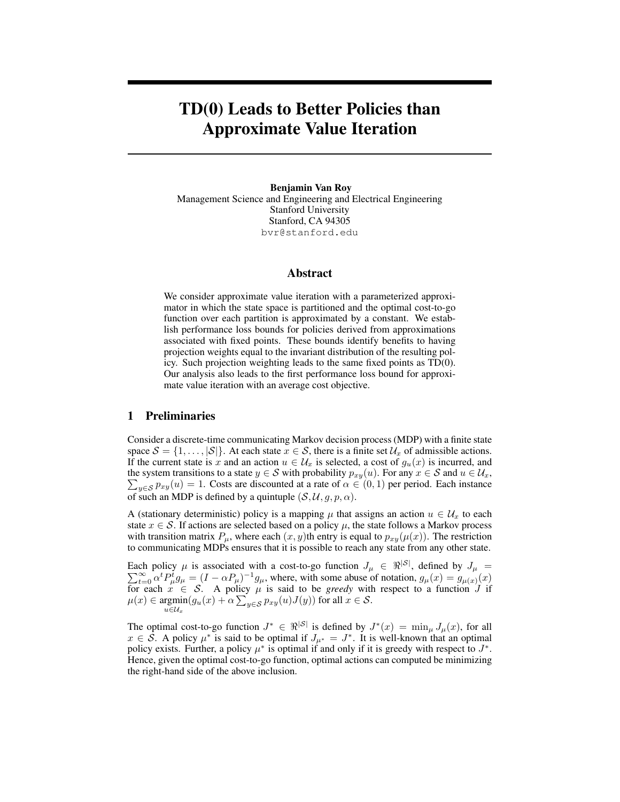# TD(0) Leads to Better Policies than Approximate Value Iteration

Benjamin Van Roy Management Science and Engineering and Electrical Engineering Stanford University Stanford, CA 94305 bvr@stanford.edu

#### Abstract

We consider approximate value iteration with a parameterized approximator in which the state space is partitioned and the optimal cost-to-go function over each partition is approximated by a constant. We establish performance loss bounds for policies derived from approximations associated with fixed points. These bounds identify benefits to having projection weights equal to the invariant distribution of the resulting policy. Such projection weighting leads to the same fixed points as TD(0). Our analysis also leads to the first performance loss bound for approximate value iteration with an average cost objective.

### 1 Preliminaries

Consider a discrete-time communicating Markov decision process (MDP) with a finite state space  $S = \{1, \ldots, |\mathcal{S}|\}$ . At each state  $x \in \mathcal{S}$ , there is a finite set  $\mathcal{U}_x$  of admissible actions. If the current state is x and an action  $u \in \mathcal{U}_x$  is selected, a cost of  $g_u(x)$  is incurred, and the system transitions to a state  $y \in S$  with probability  $p_{xy}(u)$ . For any  $x \in S$  and  $u \in U_x$ ,  $\sum_{y \in \mathcal{S}} p_{xy}(u) = 1$ . Costs are discounted at a rate of  $\alpha \in (0,1)$  per period. Each instance of such an MDP is defined by a quintuple  $(S, U, g, p, \alpha)$ .

A (stationary deterministic) policy is a mapping  $\mu$  that assigns an action  $u \in \mathcal{U}_x$  to each state  $x \in S$ . If actions are selected based on a policy  $\mu$ , the state follows a Markov process with transition matrix  $P_{\mu}$ , where each  $(x, y)$ th entry is equal to  $p_{xy}(\mu(x))$ . The restriction to communicating MDPs ensures that it is possible to reach any state from any other state.

Each policy  $\mu$  is associated with a cost-to-go function  $J_{\mu} \in \mathbb{R}^{|S|}$ , defined by  $J_{\mu} =$  $\sum_{t=0}^{\infty} \alpha^t P_{\mu}^t g_{\mu} = (I - \alpha P_{\mu})^{-1} g_{\mu}$ , where, with some abuse of notation,  $g_{\mu}(x) = g_{\mu}(x)(x)$ for each  $x \in S$ . A policy  $\mu$  is said to be *greedy* with respect to a function J if  $\mu(x) \in \text{argmin}$  $\operatorname{rgmin}_{u \in \mathcal{U}_x} (g_u(x) + \alpha \sum_{y \in \mathcal{S}} p_{xy}(u) J(y))$  for all  $x \in \mathcal{S}$ .

The optimal cost-to-go function  $J^* \in \Re^{|\mathcal{S}|}$  is defined by  $J^*(x) = \min_{\mu} J_{\mu}(x)$ , for all  $x \in \mathcal{S}$ . A policy  $\mu^*$  is said to be optimal if  $J_{\mu^*} = J^*$ . It is well-known that an optimal policy exists. Further, a policy  $\mu^*$  is optimal if and only if it is greedy with respect to  $J^*$ . Hence, given the optimal cost-to-go function, optimal actions can computed be minimizing the right-hand side of the above inclusion.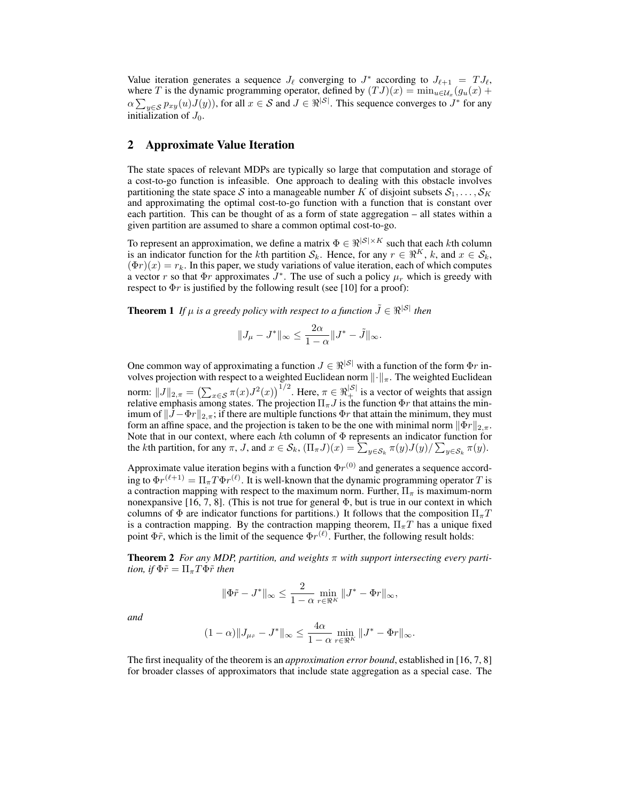Value iteration generates a sequence  $J_{\ell}$  converging to  $J^*$  according to  $J_{\ell+1} = T J_{\ell}$ , where T is the dynamic programming operator, defined by  $(TJ)(x) = \min_{u \in \mathcal{U}_x} (g_u(x) +$  $\alpha \sum_{y \in S} p_{xy}(u)J(y)$ , for all  $x \in S$  and  $J \in \Re^{|S|}$ . This sequence converges to  $J^*$  for any initialization of  $J_0$ .

## 2 Approximate Value Iteration

The state spaces of relevant MDPs are typically so large that computation and storage of a cost-to-go function is infeasible. One approach to dealing with this obstacle involves partitioning the state space S into a manageable number K of disjoint subsets  $S_1, \ldots, S_K$ and approximating the optimal cost-to-go function with a function that is constant over each partition. This can be thought of as a form of state aggregation – all states within a given partition are assumed to share a common optimal cost-to-go.

To represent an approximation, we define a matrix  $\Phi \in \Re^{|\mathcal{S}| \times K}$  such that each kth column is an indicator function for the kth partition  $S_k$ . Hence, for any  $r \in \mathbb{R}^K$ , k, and  $x \in S_k$ ,  $(\Phi r)(x) = r_k$ . In this paper, we study variations of value iteration, each of which computes a vector r so that  $\Phi r$  approximates  $J^*$ . The use of such a policy  $\mu_r$  which is greedy with respect to  $\Phi r$  is justified by the following result (see [10] for a proof):

**Theorem 1** *If*  $\mu$  *is a greedy policy with respect to a function*  $\tilde{J} \in \mathbb{R}^{|S|}$  *then* 

$$
||J_{\mu}-J^*||_{\infty}\leq \frac{2\alpha}{1-\alpha}||J^*-\tilde{J}||_{\infty}.
$$

One common way of approximating a function  $J \in \mathbb{R}^{|S|}$  with a function of the form  $\Phi r$  involves projection with respect to a weighted Euclidean norm  $\lVert \cdot \rVert_{\pi}$ . The weighted Euclidean norm:  $||J||_{2,\pi} = (\sum_{x \in S} \pi(x)J^2(x))^{1/2}$ . Here,  $\pi \in \Re_{+}^{|S|}$  is a vector of weights that assign relative emphasis among states. The projection  $\Pi_\pi J$  is the function  $\Phi r$  that attains the minimum of  $||J - \Phi r||_{2,\pi}$ ; if there are multiple functions  $\Phi r$  that attain the minimum, they must form an affine space, and the projection is taken to be the one with minimal norm  $\|\Phi_r\|_{2,\pi}$ . Note that in our context, where each  $k$ th column of  $\Phi$  represents an indicator function for the *k*th partition, for any  $\pi$ , *J*, and  $x \in S_k$ ,  $(\Pi_{\pi}J)(x) = \sum_{y \in S_k} \pi(y)J(y)/\sum_{y \in S_k} \pi(y)$ .

Approximate value iteration begins with a function  $\Phi r^{(0)}$  and generates a sequence according to  $\Phi r^{(\ell+1)} = \Pi_{\pi} T \Phi r^{(\ell)}$ . It is well-known that the dynamic programming operator  $T$  is a contraction mapping with respect to the maximum norm. Further,  $\Pi_{\pi}$  is maximum-norm nonexpansive [16, 7, 8]. (This is not true for general  $\Phi$ , but is true in our context in which columns of  $\Phi$  are indicator functions for partitions.) It follows that the composition  $\Pi_{\pi}T$ is a contraction mapping. By the contraction mapping theorem,  $\Pi_{\pi}T$  has a unique fixed point  $\Phi \tilde{r}$ , which is the limit of the sequence  $\Phi r^{(\ell)}$ . Further, the following result holds:

**Theorem 2** For any MDP, partition, and weights  $\pi$  with support intersecting every parti*tion, if*  $\Phi \tilde{r} = \Pi_{\pi} T \Phi \tilde{r}$  *then* 

$$
\|\Phi\tilde r-J^*\|_\infty\leq \frac{2}{1-\alpha}\min_{r\in\Re^K}\|J^*-\Phi r\|_\infty,
$$

*and*

$$
(1-\alpha)\|J_{\mu_{\tilde{r}}}-J^*\|_\infty\leq \frac{4\alpha}{1-\alpha}\min_{r\in\Re^K}\|J^*-\Phi r\|_\infty.
$$

The first inequality of the theorem is an *approximation error bound*, established in [16, 7, 8] for broader classes of approximators that include state aggregation as a special case. The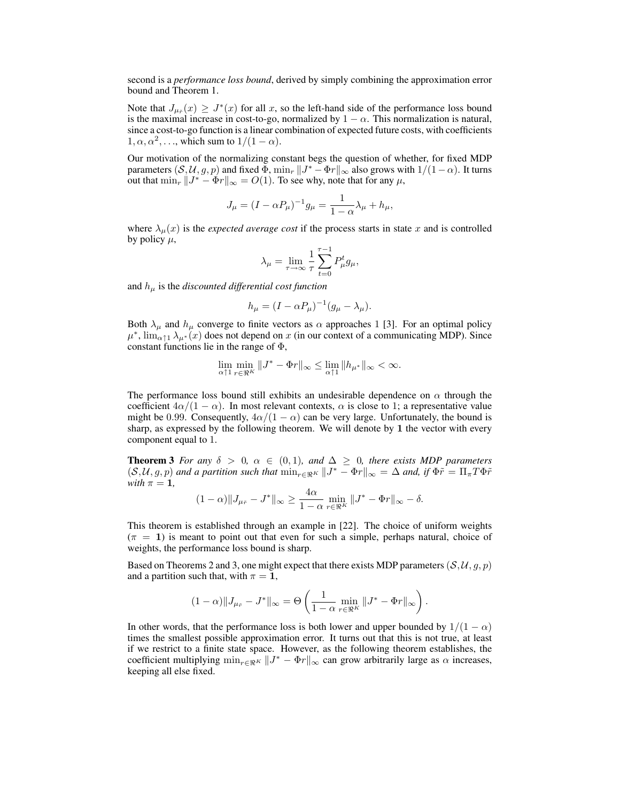second is a *performance loss bound*, derived by simply combining the approximation error bound and Theorem 1.

Note that  $J_{\mu_{\tilde{r}}}(x) \geq J^*(x)$  for all x, so the left-hand side of the performance loss bound is the maximal increase in cost-to-go, normalized by  $1 - \alpha$ . This normalization is natural, since a cost-to-go function is a linear combination of expected future costs, with coefficients  $1, \alpha, \alpha^2, \ldots$ , which sum to  $1/(1 - \alpha)$ .

Our motivation of the normalizing constant begs the question of whether, for fixed MDP parameters  $(S, U, g, p)$  and fixed  $\Phi$ ,  $\min_r ||J^* - \Phi r||_{\infty}$  also grows with  $1/(1 - \alpha)$ . It turns out that  $\min_r ||J^* - \Phi r||_{\infty} = O(1)$ . To see why, note that for any  $\mu$ ,

$$
J_{\mu} = (I - \alpha P_{\mu})^{-1} g_{\mu} = \frac{1}{1 - \alpha} \lambda_{\mu} + h_{\mu},
$$

where  $\lambda_{\mu}(x)$  is the *expected average cost* if the process starts in state x and is controlled by policy  $\mu$ ,

$$
\lambda_{\mu} = \lim_{\tau \to \infty} \frac{1}{\tau} \sum_{t=0}^{\tau-1} P_{\mu}^{t} g_{\mu},
$$

and  $h_{\mu}$  is the *discounted differential cost function* 

$$
h_{\mu} = (I - \alpha P_{\mu})^{-1} (g_{\mu} - \lambda_{\mu}).
$$

Both  $\lambda_{\mu}$  and  $h_{\mu}$  converge to finite vectors as  $\alpha$  approaches 1 [3]. For an optimal policy  $\mu^*$ ,  $\lim_{\alpha \uparrow 1} \lambda_{\mu^*}(x)$  does not depend on x (in our context of a communicating MDP). Since constant functions lie in the range of  $\Phi$ ,

$$
\lim_{\alpha \uparrow 1} \min_{r \in \mathfrak{R}^K} \|J^* - \Phi r\|_{\infty} \le \lim_{\alpha \uparrow 1} \|h_{\mu^*}\|_{\infty} < \infty.
$$

The performance loss bound still exhibits an undesirable dependence on  $\alpha$  through the coefficient  $4\alpha/(1-\alpha)$ . In most relevant contexts,  $\alpha$  is close to 1; a representative value might be 0.99. Consequently,  $4\alpha/(1-\alpha)$  can be very large. Unfortunately, the bound is sharp, as expressed by the following theorem. We will denote by 1 the vector with every component equal to 1.

**Theorem 3** *For any*  $\delta > 0$ ,  $\alpha \in (0,1)$ *, and*  $\Delta \geq 0$ *, there exists MDP parameters*  $(\mathcal{S}, \mathcal{U}, g, p)$  and a partition such that  $\min_{r \in \Re^K} ||J^* - \Phi r||_{\infty} = \Delta$  and, if  $\Phi \tilde{r} = \Pi_{\pi} T \Phi \tilde{r}$ *with*  $\pi = 1$ ,

$$
(1-\alpha)\|J_{\mu_{\tilde{r}}}-J^*\|_{\infty}\geq \frac{4\alpha}{1-\alpha}\min_{r\in\Re^K}||J^*-\Phi r||_{\infty}-\delta.
$$

This theorem is established through an example in [22]. The choice of uniform weights  $(\pi = 1)$  is meant to point out that even for such a simple, perhaps natural, choice of weights, the performance loss bound is sharp.

Based on Theorems 2 and 3, one might expect that there exists MDP parameters  $(S, U, g, p)$ and a partition such that, with  $\pi = 1$ ,

$$
(1-\alpha)\|J_{\mu_{\tilde{r}}}-J^*\|_{\infty}=\Theta\left(\frac{1}{1-\alpha}\min_{r\in\Re^K}||J^*-\Phi r||_{\infty}\right).
$$

In other words, that the performance loss is both lower and upper bounded by  $1/(1 - \alpha)$ times the smallest possible approximation error. It turns out that this is not true, at least if we restrict to a finite state space. However, as the following theorem establishes, the coefficient multiplying  $\min_{r \in \Re^K} ||J^* - \Phi r||_{\infty}$  can grow arbitrarily large as  $\alpha$  increases, keeping all else fixed.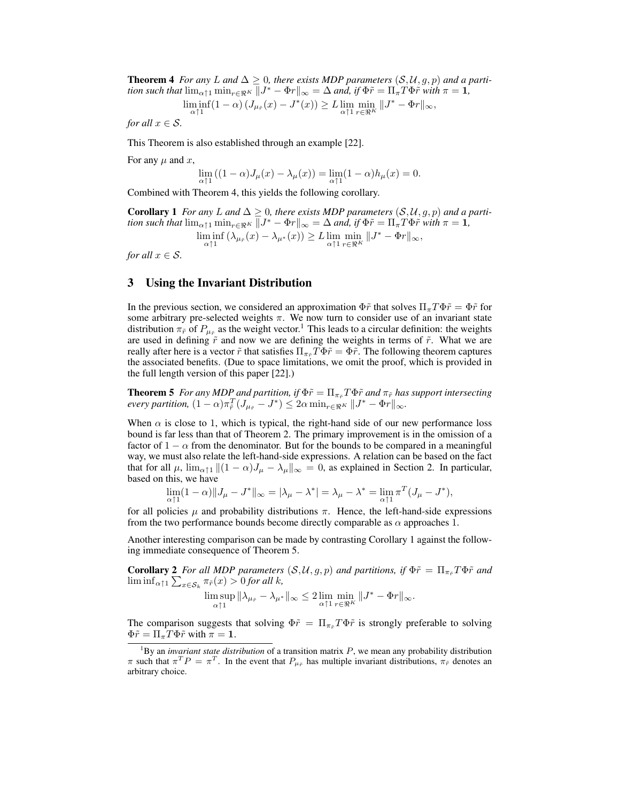**Theorem 4** *For any* L and  $\Delta \geq 0$ , there exists MDP parameters  $(S, \mathcal{U}, g, p)$  and a parti*tion such that*  $\lim_{\alpha \uparrow 1} \min_{r \in \Re^K} ||J^* - \Phi r||_{\infty} = \Delta$  *and, if*  $\Phi \tilde{r} = \prod_{\alpha} T \Phi \tilde{r}$  *with*  $\pi = 1$ *,* 

$$
\liminf_{\alpha \uparrow 1} (1 - \alpha) \left( J_{\mu_{\tilde{r}}}(x) - J^*(x) \right) \ge L \lim_{\alpha \uparrow 1} \min_{r \in \mathfrak{R}^K} \| J^* - \Phi r \|_{\infty},
$$

*for all*  $x \in \mathcal{S}$ *.* 

This Theorem is also established through an example [22].

For any  $\mu$  and  $x$ ,

$$
\lim_{\alpha \uparrow 1} \left( (1-\alpha) J_\mu(x) - \lambda_\mu(x) \right) = \lim_{\alpha \uparrow 1} (1-\alpha) h_\mu(x) = 0.
$$

Combined with Theorem 4, this yields the following corollary.

**Corollary 1** *For any L* and  $\Delta \geq 0$ *, there exists MDP parameters*  $(S, U, g, p)$  *and a partition such that*  $\lim_{\alpha \uparrow 1} \min_{r \in \Re^K} ||J^* - \Phi r||_{\infty} = \Delta$  *and, if*  $\Phi \tilde{r} = \prod_{\alpha} T \Phi \tilde{r}$  *with*  $\pi = 1$ *,*  $\liminf_{\alpha \uparrow 1} (\lambda_{\mu_{\tilde{r}}}(x) - \lambda_{\mu^*}(x)) \geq L \lim_{\alpha \uparrow 1} \min_{r \in \mathfrak{R}^K} ||J^* - \Phi r||_{\infty},$ 

*for all*  $x \in \mathcal{S}$ *.* 

## 3 Using the Invariant Distribution

In the previous section, we considered an approximation  $\Phi \tilde{r}$  that solves  $\Pi_{\pi} T \Phi \tilde{r} = \Phi \tilde{r}$  for some arbitrary pre-selected weights  $\pi$ . We now turn to consider use of an invariant state distribution  $\pi_{\tilde{r}}$  of  $P_{\mu_{\tilde{r}}}$  as the weight vector.<sup>1</sup> This leads to a circular definition: the weights are used in defining  $\tilde{r}$  and now we are defining the weights in terms of  $\tilde{r}$ . What we are really after here is a vector  $\tilde{r}$  that satisfies  $\Pi_{\pi\tilde{r}}T\Phi\tilde{r} = \Phi\tilde{r}$ . The following theorem captures the associated benefits. (Due to space limitations, we omit the proof, which is provided in the full length version of this paper [22].)

**Theorem 5** *For any MDP and partition, if*  $\Phi \tilde{r} = \prod_{\pi_{\tilde{r}}} T \Phi \tilde{r}$  *and*  $\pi_{\tilde{r}}$  *has support intersecting*  $\text{every partition, } (1 - \alpha) \pi_{\tilde{r}}^T (J_{\mu_{\tilde{r}}} - J^*) \leq 2\alpha \min_{r \in \mathfrak{R}^K} \|J^* - \Phi r\|_{\infty}.$ 

When  $\alpha$  is close to 1, which is typical, the right-hand side of our new performance loss bound is far less than that of Theorem 2. The primary improvement is in the omission of a factor of  $1 - \alpha$  from the denominator. But for the bounds to be compared in a meaningful way, we must also relate the left-hand-side expressions. A relation can be based on the fact that for all  $\mu$ ,  $\lim_{\alpha \uparrow 1} ||(1 - \alpha)J_{\mu} - \lambda_{\mu}||_{\infty} = 0$ , as explained in Section 2. In particular, based on this, we have

$$
\lim_{\alpha \uparrow 1} (1 - \alpha) \| J_{\mu} - J^* \|_{\infty} = |\lambda_{\mu} - \lambda^*| = \lambda_{\mu} - \lambda^* = \lim_{\alpha \uparrow 1} \pi^T (J_{\mu} - J^*),
$$

for all policies  $\mu$  and probability distributions  $\pi$ . Hence, the left-hand-side expressions from the two performance bounds become directly comparable as  $\alpha$  approaches 1.

Another interesting comparison can be made by contrasting Corollary 1 against the following immediate consequence of Theorem 5.

**Corollary 2** *For all MDP parameters*  $(S, U, g, p)$  *and partitions, if*  $\Phi \tilde{r} = \Pi_{\pi_{\tilde{r}}} T \Phi \tilde{r}$  *and*  $\liminf_{\alpha \uparrow 1} \sum_{x \in \mathcal{S}_k} \pi_{\tilde{r}}(x) > 0$  for all k,

$$
\limsup_{\alpha\uparrow 1} \|\lambda_{\mu_{\tilde{r}}}-\lambda_{\mu^*}\|_\infty \leq 2 \lim_{\alpha\uparrow 1} \min_{r\in\Re^K} \|J^*-\Phi r\|_\infty.
$$

The comparison suggests that solving  $\Phi \tilde{r} = \Pi_{\pi \tilde{r}} T \Phi \tilde{r}$  is strongly preferable to solving  $\Phi \tilde{r} = \Pi_{\pi} T \Phi \tilde{r}$  with  $\pi = 1$ .

<sup>&</sup>lt;sup>1</sup>By an *invariant state distribution* of a transition matrix  $P$ , we mean any probability distribution  $\pi$  such that  $\pi^T P = \pi^T$ . In the event that  $P_{\mu_{\tilde{r}}}$  has multiple invariant distributions,  $\pi_{\tilde{r}}$  denotes an arbitrary choice.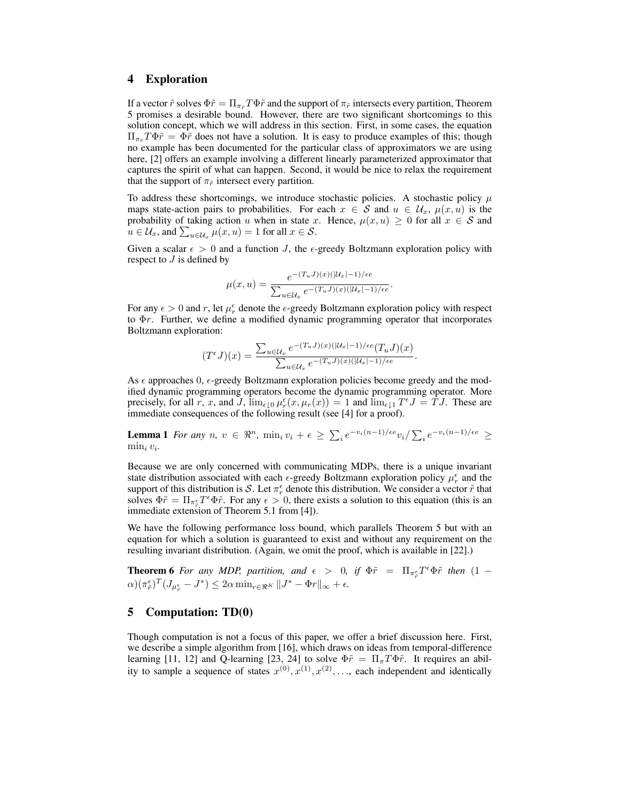#### 4 Exploration

If a vector  $\tilde{r}$  solves  $\Phi \tilde{r} = \Pi_{\pi \tilde{r}} T \Phi \tilde{r}$  and the support of  $\pi_{\tilde{r}}$  intersects every partition, Theorem 5 promises a desirable bound. However, there are two significant shortcomings to this solution concept, which we will address in this section. First, in some cases, the equation  $\Pi_{\pi \pi} T \Phi \tilde{r} = \Phi \tilde{r}$  does not have a solution. It is easy to produce examples of this; though no example has been documented for the particular class of approximators we are using here, [2] offers an example involving a different linearly parameterized approximator that captures the spirit of what can happen. Second, it would be nice to relax the requirement that the support of  $\pi_{\tilde{r}}$  intersect every partition.

To address these shortcomings, we introduce stochastic policies. A stochastic policy  $\mu$ maps state-action pairs to probabilities. For each  $x \in S$  and  $u \in U_x$ ,  $\mu(x, u)$  is the probability of taking action u when in state x. Hence,  $\mu(x, u) \geq 0$  for all  $x \in S$  and  $u \in \mathcal{U}_x$ , and  $\sum_{u \in \mathcal{U}_x} \mu(x, u) = 1$  for all  $x \in \mathcal{S}$ .

Given a scalar  $\epsilon > 0$  and a function J, the  $\epsilon$ -greedy Boltzmann exploration policy with respect to  $J$  is defined by

$$
\mu(x, u) = \frac{e^{-(T_u J)(x)(|\mathcal{U}_x| - 1)/\epsilon e}}{\sum_{u \in \mathcal{U}_x} e^{-(T_u J)(x)(|\mathcal{U}_x| - 1)/\epsilon e}}.
$$

For any  $\epsilon > 0$  and r, let  $\mu_r^{\epsilon}$  denote the  $\epsilon$ -greedy Boltzmann exploration policy with respect to  $\Phi r$ . Further, we define a modified dynamic programming operator that incorporates Boltzmann exploration:

$$
(T^{\epsilon}J)(x) = \frac{\sum_{u \in \mathcal{U}_x} e^{-(T_u J)(x)(|\mathcal{U}_x|-1)/\epsilon e}(T_u J)(x)}{\sum_{u \in \mathcal{U}_x} e^{-(T_u J)(x)(|\mathcal{U}_x|-1)/\epsilon e}}.
$$

As  $\epsilon$  approaches 0,  $\epsilon$ -greedy Boltzmann exploration policies become greedy and the modified dynamic programming operators become the dynamic programming operator. More precisely, for all r, x, and J,  $\lim_{\epsilon \downarrow 0} \mu_r^{\epsilon}(x, \mu_r(x)) = 1$  and  $\lim_{\epsilon \downarrow 1} T^{\epsilon} J = T J$ . These are immediate consequences of the following result (see [4] for a proof).

**Lemma 1** *For any*  $n, v \in \mathbb{R}^n$ ,  $\min_i v_i + \epsilon \ge \sum_i e^{-v_i(n-1)/\epsilon e} v_i / \sum_i e^{-v_i(n-1)/\epsilon e} \ge$ min<sup>i</sup> v<sup>i</sup> *.*

Because we are only concerned with communicating MDPs, there is a unique invariant state distribution associated with each  $\epsilon$ -greedy Boltzmann exploration policy  $\mu_r^{\epsilon}$  and the support of this distribution is S. Let  $\pi_r^{\epsilon}$  denote this distribution. We consider a vector  $\tilde{r}$  that solves  $\Phi \tilde{r} = \prod_{\pi \in \pi} T^{\epsilon} \Phi \tilde{r}$ . For any  $\epsilon > 0$ , there exists a solution to this equation (this is an immediate extension of Theorem 5.1 from [4]).

We have the following performance loss bound, which parallels Theorem 5 but with an equation for which a solution is guaranteed to exist and without any requirement on the resulting invariant distribution. (Again, we omit the proof, which is available in [22].)

**Theorem 6** For any MDP, partition, and  $\epsilon > 0$ , if  $\Phi \tilde{r} = \Pi_{\pi_{\tilde{r}}^{\epsilon}} T^{\epsilon} \Phi \tilde{r}$  then  $(1 - \epsilon)$  $\alpha)(\pi_{\tilde{r}}^{\epsilon})^T (J_{\mu_{\tilde{r}}^{\epsilon}} - J^*) \leq 2\alpha \min_{r \in \Re^{K}} \|J^* - \Phi r\|_{\infty} + \epsilon.$ 

## 5 Computation: TD(0)

Though computation is not a focus of this paper, we offer a brief discussion here. First, we describe a simple algorithm from [16], which draws on ideas from temporal-difference learning [11, 12] and Q-learning [23, 24] to solve  $\Phi \tilde{r} = \Pi_{\pi} T \Phi \tilde{r}$ . It requires an ability to sample a sequence of states  $x^{(0)}, x^{(1)}, x^{(2)}, \ldots$ , each independent and identically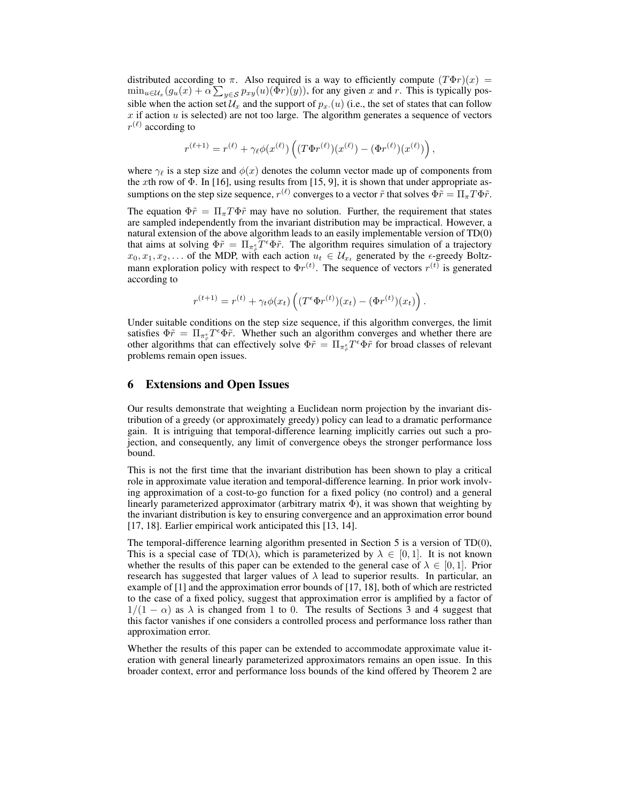distributed according to  $\pi$ . Also required is a way to efficiently compute  $(T\Phi r)(x)$  =  $\min_{u \in \mathcal{U}_x}(g_u(x) + \alpha \sum_{y \in \mathcal{S}} p_{xy}(u)(\Phi r)(y))$ , for any given x and r. This is typically possible when the action set  $\mathcal{U}_x$  and the support of  $p_x(u)$  (i.e., the set of states that can follow  $x$  if action  $u$  is selected) are not too large. The algorithm generates a sequence of vectors  $r^{(\ell)}$  according to

$$
r^{(\ell+1)} = r^{(\ell)} + \gamma_{\ell} \phi(x^{(\ell)}) \left( (T \Phi r^{(\ell)}) (x^{(\ell)}) - (\Phi r^{(\ell)}) (x^{(\ell)}) \right),
$$

where  $\gamma_{\ell}$  is a step size and  $\phi(x)$  denotes the column vector made up of components from the xth row of  $\Phi$ . In [16], using results from [15, 9], it is shown that under appropriate assumptions on the step size sequence,  $r^{(\ell)}$  converges to a vector  $\tilde{r}$  that solves  $\Phi \tilde{r} = \Pi_{\pi} T \Phi \tilde{r}$ .

The equation  $\Phi \tilde{r} = \Pi_{\pi} T \Phi \tilde{r}$  may have no solution. Further, the requirement that states are sampled independently from the invariant distribution may be impractical. However, a natural extension of the above algorithm leads to an easily implementable version of TD(0) that aims at solving  $\Phi \tilde{r} = \Pi_{\pi \xi} \tilde{T}^{\epsilon} \Phi \tilde{r}$ . The algorithm requires simulation of a trajectory  $x_0, x_1, x_2, \ldots$  of the MDP, with each action  $u_t \in \mathcal{U}_{x_t}$  generated by the  $\epsilon$ -greedy Boltzmann exploration policy with respect to  $\Phi r^{(t)}$ . The sequence of vectors  $r^{(t)}$  is generated according to

$$
r^{(t+1)} = r^{(t)} + \gamma_t \phi(x_t) \left( (T^{\epsilon} \Phi r^{(t)}) (x_t) - (\Phi r^{(t)}) (x_t) \right).
$$

Under suitable conditions on the step size sequence, if this algorithm converges, the limit satisfies  $\Phi \tilde{r} = \Pi_{\pi_{\tilde{r}}^{\epsilon}} T^{\epsilon} \Phi \tilde{r}$ . Whether such an algorithm converges and whether there are other algorithms that can effectively solve  $\Phi \tilde{r} = \Pi_{\pi \xi} T^{\epsilon} \Phi \tilde{r}$  for broad classes of relevant problems remain open issues.

### 6 Extensions and Open Issues

Our results demonstrate that weighting a Euclidean norm projection by the invariant distribution of a greedy (or approximately greedy) policy can lead to a dramatic performance gain. It is intriguing that temporal-difference learning implicitly carries out such a projection, and consequently, any limit of convergence obeys the stronger performance loss bound.

This is not the first time that the invariant distribution has been shown to play a critical role in approximate value iteration and temporal-difference learning. In prior work involving approximation of a cost-to-go function for a fixed policy (no control) and a general linearly parameterized approximator (arbitrary matrix  $\Phi$ ), it was shown that weighting by the invariant distribution is key to ensuring convergence and an approximation error bound [17, 18]. Earlier empirical work anticipated this [13, 14].

The temporal-difference learning algorithm presented in Section 5 is a version of TD(0), This is a special case of TD( $\lambda$ ), which is parameterized by  $\lambda \in [0, 1]$ . It is not known whether the results of this paper can be extended to the general case of  $\lambda \in [0, 1]$ . Prior research has suggested that larger values of  $\lambda$  lead to superior results. In particular, an example of [1] and the approximation error bounds of [17, 18], both of which are restricted to the case of a fixed policy, suggest that approximation error is amplified by a factor of  $1/(1 - \alpha)$  as  $\lambda$  is changed from 1 to 0. The results of Sections 3 and 4 suggest that this factor vanishes if one considers a controlled process and performance loss rather than approximation error.

Whether the results of this paper can be extended to accommodate approximate value iteration with general linearly parameterized approximators remains an open issue. In this broader context, error and performance loss bounds of the kind offered by Theorem 2 are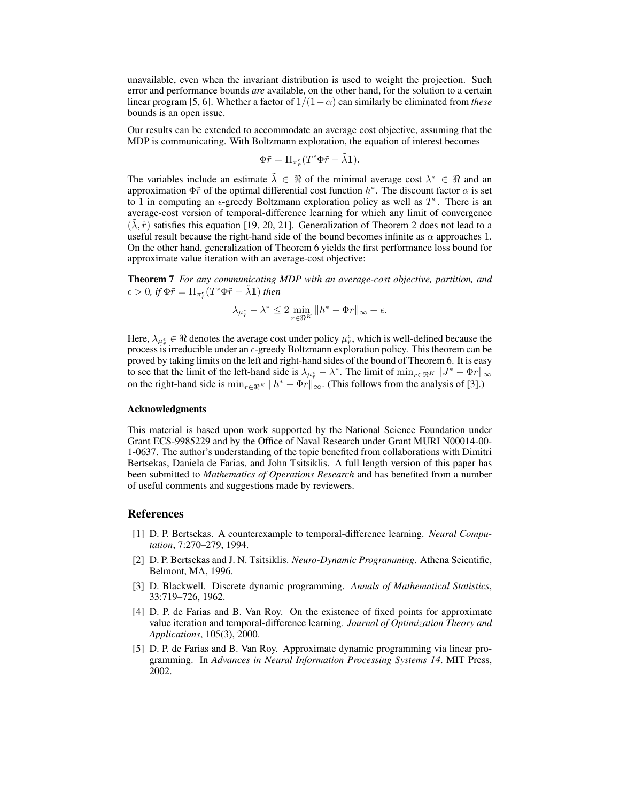unavailable, even when the invariant distribution is used to weight the projection. Such error and performance bounds *are* available, on the other hand, for the solution to a certain linear program [5, 6]. Whether a factor of  $1/(1-\alpha)$  can similarly be eliminated from *these* bounds is an open issue.

Our results can be extended to accommodate an average cost objective, assuming that the MDP is communicating. With Boltzmann exploration, the equation of interest becomes

$$
\Phi\tilde r=\Pi_{\pi^\epsilon_{\tilde r}}(T^\epsilon\Phi\tilde r-\tilde\lambda{\bf 1}).
$$

The variables include an estimate  $\tilde{\lambda} \in \Re$  of the minimal average cost  $\lambda^* \in \Re$  and an approximation  $\Phi \tilde{r}$  of the optimal differential cost function  $h^*$ . The discount factor  $\alpha$  is set to 1 in computing an  $\epsilon$ -greedy Boltzmann exploration policy as well as  $T^{\epsilon}$ . There is an average-cost version of temporal-difference learning for which any limit of convergence  $(\lambda, \tilde{r})$  satisfies this equation [19, 20, 21]. Generalization of Theorem 2 does not lead to a useful result because the right-hand side of the bound becomes infinite as  $\alpha$  approaches 1. On the other hand, generalization of Theorem 6 yields the first performance loss bound for approximate value iteration with an average-cost objective:

Theorem 7 *For any communicating MDP with an average-cost objective, partition, and*  $\epsilon > 0$ , if  $\Phi \tilde{r} = \prod_{\pi^\epsilon_{\tilde{r}}}(T^\epsilon \Phi \tilde{r} - \tilde{\lambda} \mathbf{1})$  then

$$
\lambda_{\mu_{\tilde{r}}^{\epsilon}} - \lambda^* \le 2 \min_{r \in \Re^K} \|h^* - \Phi r\|_{\infty} + \epsilon.
$$

Here,  $\lambda_{\mu_{\tilde{r}}^{\epsilon}} \in \Re$  denotes the average cost under policy  $\mu_{\tilde{r}}^{\epsilon}$ , which is well-defined because the process is irreducible under an  $\epsilon$ -greedy Boltzmann exploration policy. This theorem can be proved by taking limits on the left and right-hand sides of the bound of Theorem 6. It is easy to see that the limit of the left-hand side is  $\lambda_{\mu_{\tilde{r}}^{\epsilon}} - \lambda^*$ . The limit of  $\min_{r \in \Re^K} ||J^* - \Phi r||_{\infty}$ on the right-hand side is  $\min_{r \in \Re^K} ||h^* - \Phi r||_{\infty}$ . (This follows from the analysis of [3].)

#### Acknowledgments

This material is based upon work supported by the National Science Foundation under Grant ECS-9985229 and by the Office of Naval Research under Grant MURI N00014-00- 1-0637. The author's understanding of the topic benefited from collaborations with Dimitri Bertsekas, Daniela de Farias, and John Tsitsiklis. A full length version of this paper has been submitted to *Mathematics of Operations Research* and has benefited from a number of useful comments and suggestions made by reviewers.

#### References

- [1] D. P. Bertsekas. A counterexample to temporal-difference learning. *Neural Computation*, 7:270–279, 1994.
- [2] D. P. Bertsekas and J. N. Tsitsiklis. *Neuro-Dynamic Programming*. Athena Scientific, Belmont, MA, 1996.
- [3] D. Blackwell. Discrete dynamic programming. *Annals of Mathematical Statistics*, 33:719–726, 1962.
- [4] D. P. de Farias and B. Van Roy. On the existence of fixed points for approximate value iteration and temporal-difference learning. *Journal of Optimization Theory and Applications*, 105(3), 2000.
- [5] D. P. de Farias and B. Van Roy. Approximate dynamic programming via linear programming. In *Advances in Neural Information Processing Systems 14*. MIT Press, 2002.